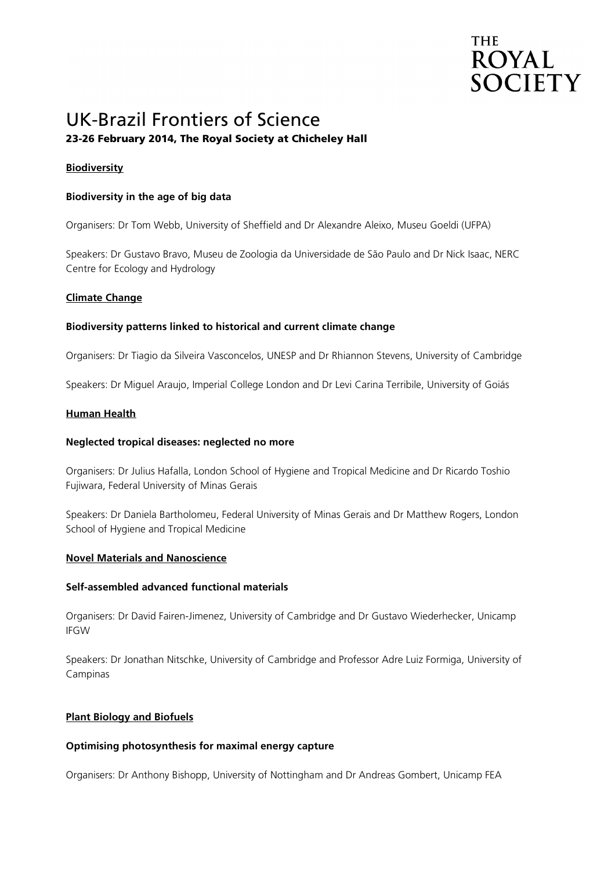# **THE ROYAL SOCIETY**

# UK-Brazil Frontiers of Science 23-26 February 2014, The Royal Society at Chicheley Hall

# **Biodiversity**

# **Biodiversity in the age of big data**

Organisers: Dr Tom Webb, University of Sheffield and Dr Alexandre Aleixo, Museu Goeldi (UFPA)

Speakers: Dr Gustavo Bravo, Museu de Zoologia da Universidade de São Paulo and Dr Nick Isaac, NERC Centre for Ecology and Hydrology

# **Climate Change**

# **Biodiversity patterns linked to historical and current climate change**

Organisers: Dr Tiagio da Silveira Vasconcelos, UNESP and Dr Rhiannon Stevens, University of Cambridge

Speakers: Dr Miguel Araujo, Imperial College London and Dr Levi Carina Terribile, University of Goiás

#### **Human Health**

#### **Neglected tropical diseases: neglected no more**

Organisers: Dr Julius Hafalla, London School of Hygiene and Tropical Medicine and Dr Ricardo Toshio Fujiwara, Federal University of Minas Gerais

Speakers: Dr Daniela Bartholomeu, Federal University of Minas Gerais and Dr Matthew Rogers, London School of Hygiene and Tropical Medicine

#### **Novel Materials and Nanoscience**

#### **Self-assembled advanced functional materials**

Organisers: Dr David Fairen-Jimenez, University of Cambridge and Dr Gustavo Wiederhecker, Unicamp IFGW

Speakers: Dr Jonathan Nitschke, University of Cambridge and Professor Adre Luiz Formiga, University of Campinas

#### **Plant Biology and Biofuels**

#### **Optimising photosynthesis for maximal energy capture**

Organisers: Dr Anthony Bishopp, University of Nottingham and Dr Andreas Gombert, Unicamp FEA